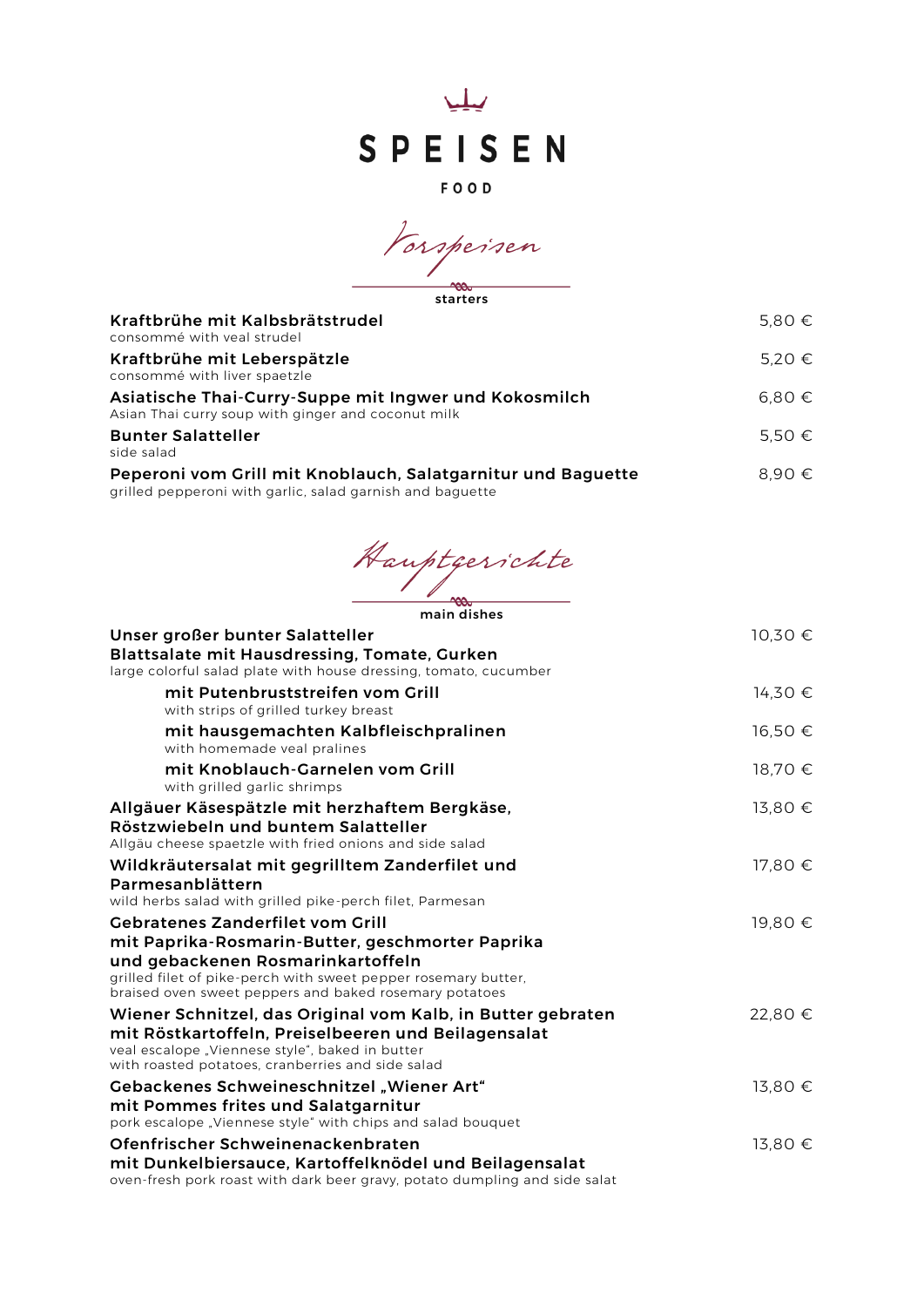

## **FOOD**

Vorspeisen

| Kraftbrühe mit Kalbsbrätstrudel<br>consommé with veal strudel                                                             | 5.80 €     |
|---------------------------------------------------------------------------------------------------------------------------|------------|
| Kraftbrühe mit Leberspätzle<br>consommé with liver spaetzle                                                               | 5.20 $\in$ |
| Asiatische Thai-Curry-Suppe mit Ingwer und Kokosmilch<br>Asian Thai curry soup with ginger and coconut milk               | 6.80 €     |
| <b>Bunter Salatteller</b><br>side salad                                                                                   | 5.50 $\in$ |
| Peperoni vom Grill mit Knoblauch, Salatgarnitur und Baguette<br>grilled pepperoni with garlic, salad garnish and baguette | 8.90 €     |

Hauptgerichte

|  | main dishe |  |
|--|------------|--|
|  |            |  |

| Unser großer bunter Salatteller<br><b>Blattsalate mit Hausdressing, Tomate, Gurken</b><br>large colorful salad plate with house dressing, tomato, cucumber                                                                                                   | 10,30 € |
|--------------------------------------------------------------------------------------------------------------------------------------------------------------------------------------------------------------------------------------------------------------|---------|
| mit Putenbruststreifen vom Grill<br>with strips of grilled turkey breast                                                                                                                                                                                     | 14,30 € |
| mit hausgemachten Kalbfleischpralinen<br>with homemade veal pralines                                                                                                                                                                                         | 16,50 € |
| mit Knoblauch-Garnelen vom Grill<br>with grilled garlic shrimps                                                                                                                                                                                              | 18,70 € |
| Allgäuer Käsespätzle mit herzhaftem Bergkäse,<br>Röstzwiebeln und buntem Salatteller<br>Allgäu cheese spaetzle with fried onions and side salad                                                                                                              | 13,80 € |
| Wildkräutersalat mit gegrilltem Zanderfilet und<br>Parmesanblättern<br>wild herbs salad with grilled pike-perch filet, Parmesan                                                                                                                              | 17,80 € |
| <b>Gebratenes Zanderfilet vom Grill</b><br>mit Paprika-Rosmarin-Butter, geschmorter Paprika<br>und gebackenen Rosmarinkartoffeln<br>grilled filet of pike-perch with sweet pepper rosemary butter,<br>braised oven sweet peppers and baked rosemary potatoes | 19,80 € |
| Wiener Schnitzel, das Original vom Kalb, in Butter gebraten<br>mit Röstkartoffeln, Preiselbeeren und Beilagensalat<br>veal escalope "Viennese style", baked in butter<br>with roasted potatoes, cranberries and side salad                                   | 22,80 € |
| Gebackenes Schweineschnitzel "Wiener Art"<br>mit Pommes frites und Salatgarnitur<br>pork escalope "Viennese style" with chips and salad bouquet                                                                                                              | 13,80 € |
| Ofenfrischer Schweinenackenbraten<br>mit Dunkelbiersauce, Kartoffelknödel und Beilagensalat<br>oven-fresh pork roast with dark beer gravy, potato dumpling and side salat                                                                                    | 13,80 € |